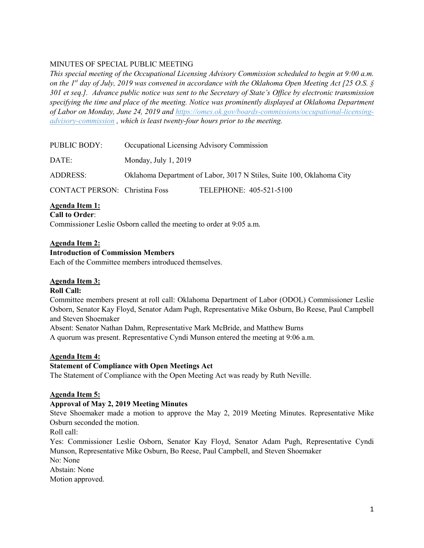## MINUTES OF SPECIAL PUBLIC MEETING

*This special meeting of the Occupational Licensing Advisory Commission scheduled to begin at 9:00 a.m. on the 1st day of July, 2019 was convened in accordance with the Oklahoma Open Meeting Act [25 O.S. § 301 et seq.]. Advance public notice was sent to the Secretary of State's Office by electronic transmission specifying the time and place of the meeting. Notice was prominently displayed at Oklahoma Department of Labor on Monday, June 24, 2019 and https://omes.ok.gov/boards-commissions/occupational-licensingadvisory-commission , which is least twenty-four hours prior to the meeting.*

| PUBLIC BODY:                          | Occupational Licensing Advisory Commission                            |                         |
|---------------------------------------|-----------------------------------------------------------------------|-------------------------|
| DATE:                                 | Monday, July 1, 2019                                                  |                         |
| ADDRESS:                              | Oklahoma Department of Labor, 3017 N Stiles, Suite 100, Oklahoma City |                         |
| <b>CONTACT PERSON:</b> Christina Foss |                                                                       | TELEPHONE: 405-521-5100 |

**Agenda Item 1:**

**Call to Order**:

Commissioner Leslie Osborn called the meeting to order at 9:05 a.m.

## **Agenda Item 2:**

#### **Introduction of Commission Members**

Each of the Committee members introduced themselves.

#### **Agenda Item 3:**

## **Roll Call:**

Committee members present at roll call: Oklahoma Department of Labor (ODOL) Commissioner Leslie Osborn, Senator Kay Floyd, Senator Adam Pugh, Representative Mike Osburn, Bo Reese, Paul Campbell and Steven Shoemaker

Absent: Senator Nathan Dahm, Representative Mark McBride, and Matthew Burns A quorum was present. Representative Cyndi Munson entered the meeting at 9:06 a.m.

#### **Agenda Item 4:**

## **Statement of Compliance with Open Meetings Act**

The Statement of Compliance with the Open Meeting Act was ready by Ruth Neville.

#### **Agenda Item 5:**

#### **Approval of May 2, 2019 Meeting Minutes**

Steve Shoemaker made a motion to approve the May 2, 2019 Meeting Minutes. Representative Mike Osburn seconded the motion.

Roll call:

Yes: Commissioner Leslie Osborn, Senator Kay Floyd, Senator Adam Pugh, Representative Cyndi Munson, Representative Mike Osburn, Bo Reese, Paul Campbell, and Steven Shoemaker No: None

Abstain: None

Motion approved.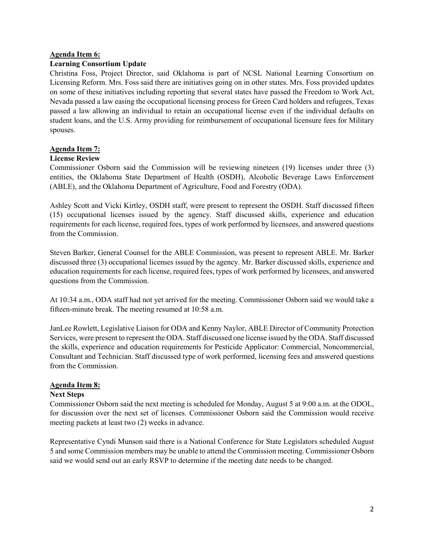#### **Agenda Item 6:**

#### **Learning Consortium Update**

Christina Foss, Project Director, said Oklahoma is part of NCSL National Learning Consortium on Licensing Reform. Mrs. Foss said there are initiatives going on in other states. Mrs. Foss provided updates on some of these initiatives including reporting that several states have passed the Freedom to Work Act, Nevada passed a law easing the occupational licensing process for Green Card holders and refugees, Texas passed a law allowing an individual to retain an occupational license even if the individual defaults on student loans, and the U.S. Army providing for reimbursement of occupational licensure fees for Military spouses.

#### **Agenda Item 7:**

#### **License Review**

Commissioner Osborn said the Commission will be reviewing nineteen (19) licenses under three (3) entities, the Oklahoma State Department of Health (OSDH), Alcoholic Beverage Laws Enforcement (ABLE), and the Oklahoma Department of Agriculture, Food and Forestry (ODA).

Ashley Scott and Vicki Kirtley, OSDH staff, were present to represent the OSDH. Staff discussed fifteen (15) occupational licenses issued by the agency. Staff discussed skills, experience and education requirements for each license, required fees, types of work performed by licensees, and answered questions from the Commission.

Steven Barker, General Counsel for the ABLE Commission, was present to represent ABLE. Mr. Barker discussed three (3) occupational licenses issued by the agency. Mr. Barker discussed skills, experience and education requirements for each license, required fees, types of work performed by licensees, and answered questions from the Commission.

At 10:34 a.m., ODA staff had not yet arrived for the meeting. Commissioner Osborn said we would take a fifteen-minute break. The meeting resumed at 10:58 a.m.

JanLee Rowlett, Legislative Liaison for ODA and Kenny Naylor, ABLE Director of Community Protection Services, were present to represent the ODA. Staff discussed one license issued by the ODA. Staff discussed the skills, experience and education requirements for Pesticide Applicator: Commercial, Noncommercial, Consultant and Technician. Staff discussed type of work performed, licensing fees and answered questions from the Commission.

#### **Agenda Item 8:**

#### **Next Steps**

Commissioner Osborn said the next meeting is scheduled for Monday, August 5 at 9:00 a.m. at the ODOL, for discussion over the next set of licenses. Commissioner Osborn said the Commission would receive meeting packets at least two (2) weeks in advance.

Representative Cyndi Munson said there is a National Conference for State Legislators scheduled August 5 and some Commission members may be unable to attend the Commission meeting. Commissioner Osborn said we would send out an early RSVP to determine if the meeting date needs to be changed.